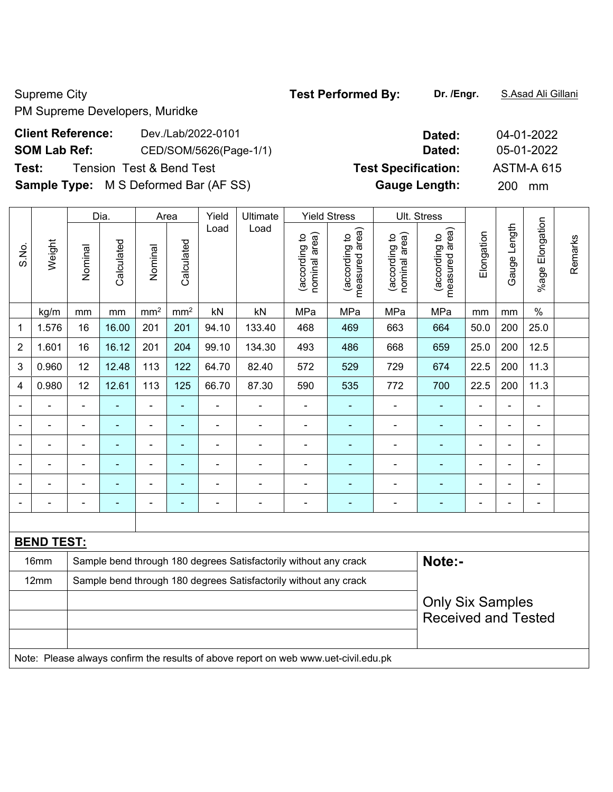PM Supreme Developers, Muridke

## **Client Reference:** Dev./Lab/2022-0101 **SOM Lab Ref:** CED/SOM/5626(Page-1/1) **Test:** Tension Test & Bend Test **Specifical Specification: Test Specification: Test Sample Type:** M S Deformed Bar (AF SS)

|                |                                                                                     |                                                                  | Dia.           | Area            |                 | Yield                        | Ultimate                                                         |                                | <b>Yield Stress</b>                |                                | Ult. Stress                        |                |                          |                              |         |
|----------------|-------------------------------------------------------------------------------------|------------------------------------------------------------------|----------------|-----------------|-----------------|------------------------------|------------------------------------------------------------------|--------------------------------|------------------------------------|--------------------------------|------------------------------------|----------------|--------------------------|------------------------------|---------|
| S.No.          | Weight                                                                              | Nominal                                                          | Calculated     | Nominal         | Calculated      | Load                         | Load                                                             | nominal area)<br>(according to | area)<br>(according to<br>measured | nominal area)<br>(according to | area)<br>(according to<br>measured | Elongation     | Gauge Length             | %age Elongation              | Remarks |
|                | kg/m                                                                                | mm                                                               | mm             | mm <sup>2</sup> | mm <sup>2</sup> | kN                           | kN                                                               | MPa                            | MPa                                | MPa                            | MPa                                | mm             | mm                       | $\frac{0}{0}$                |         |
| $\mathbf{1}$   | 1.576                                                                               | 16                                                               | 16.00          | 201             | 201             | 94.10                        | 133.40                                                           | 468                            | 469                                | 663                            | 664                                | 50.0           | 200                      | 25.0                         |         |
| $\overline{2}$ | 1.601                                                                               | 16                                                               | 16.12          | 201             | 204             | 99.10                        | 134.30                                                           | 493                            | 486                                | 668                            | 659                                | 25.0           | 200                      | 12.5                         |         |
| $\mathfrak{B}$ | 0.960                                                                               | 12                                                               | 12.48          | 113             | 122             | 64.70                        | 82.40                                                            | 572                            | 529                                | 729                            | 674                                | 22.5           | 200                      | 11.3                         |         |
| $\overline{4}$ | 0.980                                                                               | 12                                                               | 12.61          | 113             | 125             | 66.70                        | 87.30                                                            | 590                            | 535                                | 772                            | 700                                | 22.5           | 200                      | 11.3                         |         |
|                |                                                                                     | $\overline{a}$                                                   |                | $\blacksquare$  | ä,              | -                            | $\overline{a}$                                                   |                                |                                    | $\blacksquare$                 | ÷,                                 | $\blacksquare$ | ä,                       |                              |         |
|                |                                                                                     | $\blacksquare$                                                   |                | $\blacksquare$  | ۰               | $\frac{1}{2}$                | $\blacksquare$                                                   | $\blacksquare$                 | $\blacksquare$                     | $\blacksquare$                 | ÷                                  | $\blacksquare$ | $\blacksquare$           | $\blacksquare$               |         |
|                | $\blacksquare$                                                                      | $\blacksquare$                                                   | $\blacksquare$ | $\blacksquare$  | ä,              | ÷,                           | $\overline{\phantom{a}}$                                         | ä,                             | ä,                                 | ä,                             | $\blacksquare$                     | ÷,             | $\blacksquare$           | $\blacksquare$               |         |
|                |                                                                                     | $\blacksquare$                                                   | $\blacksquare$ | $\blacksquare$  | ä,              | $\qquad \qquad \blacksquare$ | $\overline{\phantom{a}}$                                         | $\blacksquare$                 | $\blacksquare$                     | ÷                              | $\blacksquare$                     | ÷,             | $\overline{\phantom{a}}$ | $\qquad \qquad \blacksquare$ |         |
|                |                                                                                     | Ē,                                                               |                | $\blacksquare$  | ۰               | ÷,                           | ÷,                                                               | Ē,                             | $\blacksquare$                     | $\blacksquare$                 | $\blacksquare$                     | ä,             | $\blacksquare$           | $\blacksquare$               |         |
|                |                                                                                     | ä,                                                               | $\blacksquare$ | $\blacksquare$  | ä,              | $\blacksquare$               | $\blacksquare$                                                   | $\blacksquare$                 | ÷                                  | ÷                              | $\blacksquare$                     | $\blacksquare$ | $\blacksquare$           | $\qquad \qquad \blacksquare$ |         |
|                |                                                                                     |                                                                  |                |                 |                 |                              |                                                                  |                                |                                    |                                |                                    |                |                          |                              |         |
|                | <b>BEND TEST:</b>                                                                   |                                                                  |                |                 |                 |                              |                                                                  |                                |                                    |                                |                                    |                |                          |                              |         |
|                | 16mm                                                                                |                                                                  |                |                 |                 |                              | Sample bend through 180 degrees Satisfactorily without any crack |                                |                                    |                                | Note:-                             |                |                          |                              |         |
|                | 12mm                                                                                | Sample bend through 180 degrees Satisfactorily without any crack |                |                 |                 |                              |                                                                  |                                |                                    |                                |                                    |                |                          |                              |         |
|                |                                                                                     |                                                                  |                |                 |                 |                              |                                                                  |                                |                                    |                                | <b>Only Six Samples</b>            |                |                          |                              |         |
|                |                                                                                     |                                                                  |                |                 |                 |                              |                                                                  |                                |                                    |                                | <b>Received and Tested</b>         |                |                          |                              |         |
|                |                                                                                     |                                                                  |                |                 |                 |                              |                                                                  |                                |                                    |                                |                                    |                |                          |                              |         |
|                | Note: Please always confirm the results of above report on web www.uet-civil.edu.pk |                                                                  |                |                 |                 |                              |                                                                  |                                |                                    |                                |                                    |                |                          |                              |         |

| Dated:               | 04-01-2022        |
|----------------------|-------------------|
| Dated:               | 05-01-2022        |
| st Specification:    | <b>ASTM-A 615</b> |
| <b>Gauge Length:</b> | 200<br>mm         |

Supreme City **Test Performed By:** Dr. /Engr. **S.Asad Ali Gillani** Supreme City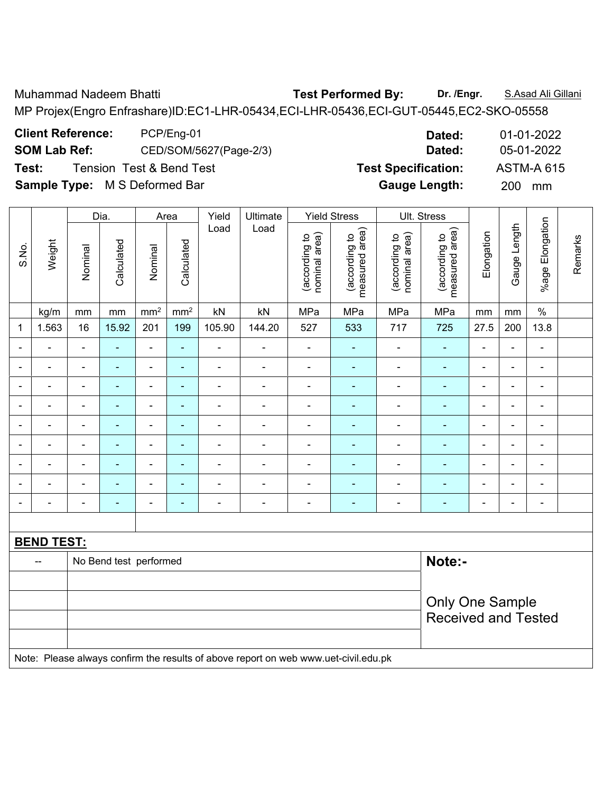Muhammad Nadeem Bhatti **Test Performed By: Dr. /Engr.** S.Asad Ali Gillani MP Projex(Engro Enfrashare)ID:EC1-LHR-05434,ECI-LHR-05436,ECI-GUT-05445,EC2-SKO-05558

**Client Reference:** PCP/Eng-01 **Dated:** 01-01-2022 **SOM Lab Ref:** CED/SOM/5627(Page-2/3) **Dated:** 05-01-2022 **Test:** Tension Test & Bend Test **Test Specification:** ASTM-A 615

Dia. | Area | Yield | Ultimate | Yield Stress | Ult. Stress %age Elongation %age Elongation Gauge Length Load Load Gauge Length (according to<br>measured area) (according to<br>measured area) measured area) measured area) (according to<br>nominal area) (according to<br>nominal area) nominal area) nominal area) Elongation Elongation (according to (according to (according to (according to Remarks Remarks **Calculated Calculated** Weight S.No. Calculated Calculated Nominal Nominal Nominal Nominal  $\vert$  kg/m  $\vert$  mm  $\vert$  mm $^2$   $\vert$  mm $^2$   $\vert$  kN  $\vert$  kN  $\vert$  MPa  $\vert$  MPa  $\vert$  MPa  $\vert$  mm  $\vert$  mm  $\vert$  % 1 | 1.563 | 16 | 15.92 | 201 | 199 | 105.90 | 144.20 | 527 | 533 | 717 | 725 | 27.5 | 200 | 13.8 - - - - - - - - - - - - - - - - - - - - - - - - - - - - - - - - - - - - - - - - - - - - - - - - - - - - - - - - - - - - - - - - - - - - - - - - - - - - - - - - - - - - - - - - - - - - - - - - - - - - - - - - - - - - - - - - - - - - - - - - - - - - - - - - - - - - - - - **BEND TEST:**  -- No Bend test performed **Note:**-Only One Sample Received and Tested Note: Please always confirm the results of above report on web www.uet-civil.edu.pk

**Sample Type:** M S Deformed Bar **Gauge Length:** 200 mm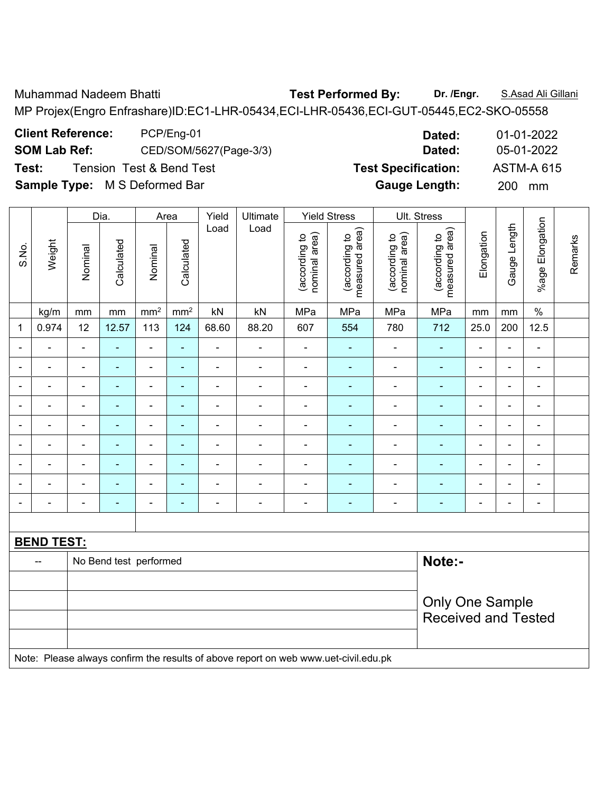Muhammad Nadeem Bhatti **Test Performed By: Dr. /Engr.** S.Asad Ali Gillani MP Projex(Engro Enfrashare)ID:EC1-LHR-05434,ECI-LHR-05436,ECI-GUT-05445,EC2-SKO-05558

**Client Reference:** PCP/Eng-01 **Dated:** 01-01-2022 **SOM Lab Ref:** CED/SOM/5627(Page-3/3) **Dated:** 05-01-2022 **Test:** Tension Test & Bend Test **Test Specification:** ASTM-A 615

**Sample Type:** M S Deformed Bar **Gauge Length:** 200 mm

Dia. | Area | Yield | Ultimate | Yield Stress | Ult. Stress %age Elongation %age Elongation Gauge Length Load Load Gauge Length (according to<br>measured area) (according to<br>measured area) measured area) measured area) (according to<br>nominal area) (according to<br>nominal area) nominal area) nominal area) Elongation Elongation (according to (according to (according to (according to Remarks Remarks **Calculated Calculated** Weight S.No. Calculated Calculated Nominal Nominal Nominal Nominal  $\vert$  kg/m  $\vert$  mm  $\vert$  mm<sup>2</sup>  $\vert$  mm<sup>2</sup>  $\vert$  kN  $\vert$  kN  $\vert$  MPa  $\vert$  MPa  $\vert$  MPa  $\vert$  mm  $\vert$  mm  $\vert$  % 1 | 0.974 | 12 | 12.57 | 113 | 124 | 68.60 | 88.20 | 607 | 554 | 780 | 712 | 25.0 | 200 | 12.5 - - - - - - - - - - - - - - - - - - - - - - - - - - - - - - - - - - - - - - - - - - - - - - - - - - - - - - - - - - - - - - - - - - - - - - - - - - - - - - - - - - - - - - - - - - - - - - - - - - - - - - - - - - - - - - - - - - - - - - - - - - - - - - - - - - - - - - - **BEND TEST:**  -- No Bend test performed **Note:**-Only One Sample Received and Tested Note: Please always confirm the results of above report on web www.uet-civil.edu.pk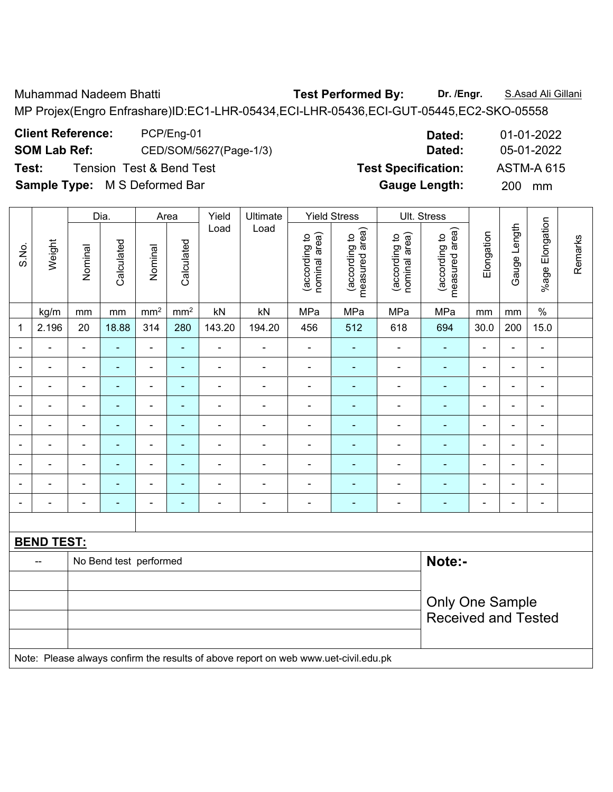Muhammad Nadeem Bhatti **Test Performed By: Dr. /Engr.** S.Asad Ali Gillani MP Projex(Engro Enfrashare)ID:EC1-LHR-05434,ECI-LHR-05436,ECI-GUT-05445,EC2-SKO-05558

**Client Reference:** PCP/Eng-01 **Dated:** 01-01-2022 **SOM Lab Ref:** CED/SOM/5627(Page-1/3) **Dated:** 05-01-2022 **Test:** Tension Test & Bend Test **Test Specification:** ASTM-A 615

|                |                                                                                     |                                  | Dia.           |                              | Area            | Yield                    | Ultimate       |                                | <b>Yield Stress</b>             |                                | Ult. Stress                     |                |                |                 |         |
|----------------|-------------------------------------------------------------------------------------|----------------------------------|----------------|------------------------------|-----------------|--------------------------|----------------|--------------------------------|---------------------------------|--------------------------------|---------------------------------|----------------|----------------|-----------------|---------|
| S.No.          | Weight                                                                              | Nominal                          | Calculated     | Nominal                      | Calculated      | Load                     | Load           | nominal area)<br>(according to | measured area)<br>(according to | nominal area)<br>(according to | measured area)<br>(according to | Elongation     | Gauge Length   | %age Elongation | Remarks |
|                | kg/m                                                                                | mm                               | mm             | mm <sup>2</sup>              | mm <sup>2</sup> | kN                       | kN             | MPa                            | MPa                             | MPa                            | MPa                             | mm             | mm             | $\frac{0}{0}$   |         |
| 1              | 2.196                                                                               | 20                               | 18.88          | 314                          | 280             | 143.20                   | 194.20         | 456                            | 512                             | 618                            | 694                             | 30.0           | 200            | 15.0            |         |
| $\blacksquare$ |                                                                                     | $\blacksquare$                   | $\blacksquare$ | $\blacksquare$               | $\blacksquare$  | $\frac{1}{2}$            | ÷,             | $\blacksquare$                 | $\blacksquare$                  | $\blacksquare$                 | $\blacksquare$                  | $\blacksquare$ | ÷,             | ä,              |         |
|                |                                                                                     | $\blacksquare$                   | ÷,             | $\qquad \qquad \blacksquare$ | ÷               | ÷,                       | ÷,             | $\blacksquare$                 | ÷,                              | ä,                             | ÷,                              | ä,             | ä,             | ä,              |         |
|                |                                                                                     |                                  | $\blacksquare$ | $\blacksquare$               | $\blacksquare$  | $\blacksquare$           | $\blacksquare$ | $\blacksquare$                 | $\blacksquare$                  | $\blacksquare$                 | $\blacksquare$                  | $\blacksquare$ |                | $\blacksquare$  |         |
|                |                                                                                     | $\blacksquare$                   | $\blacksquare$ | $\blacksquare$               | ۰               | $\blacksquare$           |                | $\blacksquare$                 | ä,                              | Ē,                             | ÷                               | $\blacksquare$ | Ē,             | $\blacksquare$  |         |
|                |                                                                                     | $\blacksquare$                   | $\blacksquare$ | ۰                            | ÷               | $\overline{\phantom{a}}$ | $\blacksquare$ | $\overline{\phantom{a}}$       | $\blacksquare$                  | ÷,                             | $\blacksquare$                  | $\blacksquare$ | $\blacksquare$ | ÷               |         |
| $\blacksquare$ | $\blacksquare$                                                                      | $\blacksquare$                   | $\blacksquare$ | $\qquad \qquad \blacksquare$ | ÷               | $\overline{\phantom{a}}$ | $\blacksquare$ | $\frac{1}{2}$                  | $\blacksquare$                  | $\blacksquare$                 | $\blacksquare$                  | $\blacksquare$ | $\blacksquare$ | ÷,              |         |
|                |                                                                                     | $\blacksquare$                   | ä,             | $\blacksquare$               | ۰               | ÷,                       | Ē,             | $\overline{\phantom{a}}$       | ä,                              | ÷,                             | $\blacksquare$                  | $\blacksquare$ | ä,             | ä,              |         |
|                |                                                                                     | $\blacksquare$                   | $\blacksquare$ | $\qquad \qquad \blacksquare$ | Ξ               | ÷,                       | $\blacksquare$ | $\blacksquare$                 | $\blacksquare$                  | ÷,                             | $\blacksquare$                  | $\blacksquare$ | $\blacksquare$ | ä,              |         |
|                |                                                                                     | $\blacksquare$                   | $\blacksquare$ | $\blacksquare$               | ۰               | $\blacksquare$           | Ē,             | $\blacksquare$                 | ۰                               | ÷                              | ÷,                              | $\blacksquare$ | $\blacksquare$ | ä,              |         |
|                |                                                                                     |                                  |                |                              |                 |                          |                |                                |                                 |                                |                                 |                |                |                 |         |
|                | <b>BEND TEST:</b>                                                                   |                                  |                |                              |                 |                          |                |                                |                                 |                                |                                 |                |                |                 |         |
|                | $\overline{\phantom{a}}$                                                            | Note:-<br>No Bend test performed |                |                              |                 |                          |                |                                |                                 |                                |                                 |                |                |                 |         |
|                |                                                                                     |                                  |                |                              |                 |                          |                |                                |                                 |                                |                                 |                |                |                 |         |
|                |                                                                                     |                                  |                |                              |                 |                          |                |                                |                                 |                                | <b>Only One Sample</b>          |                |                |                 |         |
|                |                                                                                     |                                  |                |                              |                 |                          |                |                                |                                 |                                | <b>Received and Tested</b>      |                |                |                 |         |
|                |                                                                                     |                                  |                |                              |                 |                          |                |                                |                                 |                                |                                 |                |                |                 |         |
|                | Note: Please always confirm the results of above report on web www.uet-civil.edu.pk |                                  |                |                              |                 |                          |                |                                |                                 |                                |                                 |                |                |                 |         |

**Sample Type:** M S Deformed Bar **Gauge Length:** 200 mm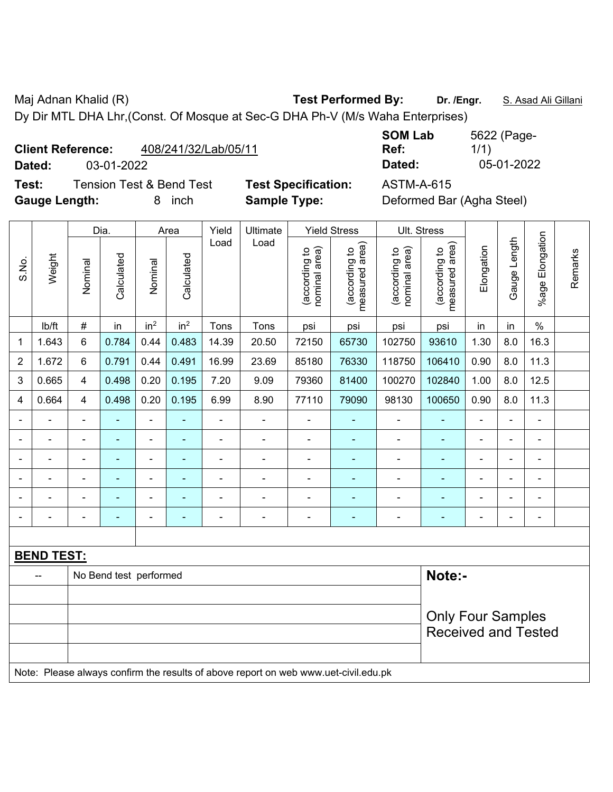Maj Adnan Khalid (R) **Test Performed By:** Dr. /Engr. **S. Asad Ali Gillani** Ali Gillani Dy Dir MTL DHA Lhr,(Const. Of Mosque at Sec-G DHA Ph-V (M/s Waha Enterprises)

| <b>Client Reference:</b> | 408/241/32/Lab/05/11 |
|--------------------------|----------------------|
|--------------------------|----------------------|

**Test:** Tension Test & Bend Test **Test Specification:** ASTM-A-615 **Gauge Length:** 8 inch **Sample Type:** Deformed Bar (Agha Steel)

|                |                                                                                     |                                  | Dia.                     |                              | Area                     | Yield<br>Ultimate |                |                                | <b>Yield Stress</b>             |                                | Ult. Stress                     |                          |                       |                          |         |
|----------------|-------------------------------------------------------------------------------------|----------------------------------|--------------------------|------------------------------|--------------------------|-------------------|----------------|--------------------------------|---------------------------------|--------------------------------|---------------------------------|--------------------------|-----------------------|--------------------------|---------|
| S.No.          | Weight                                                                              | Nominal                          | Calculated               | Nominal                      | Calculated               | Load              | Load           | nominal area)<br>(according to | (according to<br>measured area) | (according to<br>nominal area) | measured area)<br>(according to | Elongation               | Gauge Length          | %age Elongation          | Remarks |
|                | lb/ft                                                                               | #                                | in                       | in <sup>2</sup>              | in <sup>2</sup>          | Tons              | Tons           | psi                            | psi                             | psi                            | psi                             | in                       | in                    | $\frac{0}{0}$            |         |
| 1              | 1.643                                                                               | 6                                | 0.784                    | 0.44                         | 0.483                    | 14.39             | 20.50          | 72150                          | 65730                           | 102750                         | 93610                           | 1.30                     | 8.0                   | 16.3                     |         |
| $\overline{2}$ | 1.672                                                                               | 6                                | 0.791                    | 0.44                         | 0.491                    | 16.99             | 23.69          | 85180                          | 76330                           | 118750                         | 106410                          | 0.90                     | 8.0                   | 11.3                     |         |
| $\mathfrak{S}$ | 0.665                                                                               | 4                                | 0.498                    | 0.20                         | 0.195                    | 7.20              | 9.09           | 79360                          | 81400                           | 100270                         | 102840                          | 1.00                     | 8.0                   | 12.5                     |         |
| 4              | 0.664                                                                               | 4                                | 0.498                    | 0.20                         | 0.195                    | 6.99              | 8.90           | 77110                          | 79090                           | 98130                          | 100650                          | 0.90                     | 8.0                   | 11.3                     |         |
|                | ÷,                                                                                  | $\blacksquare$                   | ٠                        | $\blacksquare$               | ÷                        | $\blacksquare$    | $\blacksquare$ | $\blacksquare$                 | ٠                               | $\qquad \qquad \blacksquare$   | $\blacksquare$                  | $\frac{1}{2}$            | $\blacksquare$        | $\blacksquare$           |         |
|                | $\blacksquare$                                                                      | $\blacksquare$                   | $\blacksquare$           | $\qquad \qquad \blacksquare$ | $\overline{\phantom{0}}$ | $\blacksquare$    | $\frac{1}{2}$  | $\blacksquare$                 | $\blacksquare$                  | $\blacksquare$                 | $\blacksquare$                  | $\blacksquare$           | $\blacksquare$        | $\blacksquare$           |         |
|                | $\blacksquare$                                                                      | $\blacksquare$                   | $\blacksquare$           | ÷,                           | ٠                        | $\blacksquare$    | $\frac{1}{2}$  | $\blacksquare$                 | $\blacksquare$                  | $\overline{\phantom{a}}$       | $\blacksquare$                  | $\blacksquare$           | ÷                     | $\blacksquare$           |         |
|                |                                                                                     |                                  | ۰                        | $\blacksquare$               |                          | L,                | ä,             |                                | ä,                              |                                | ä,                              |                          |                       | ä,                       |         |
|                |                                                                                     |                                  |                          | ۰                            |                          |                   | $\blacksquare$ |                                |                                 |                                |                                 |                          |                       | ä,                       |         |
|                |                                                                                     | $\blacksquare$                   | $\overline{\phantom{0}}$ | $\qquad \qquad \blacksquare$ | ۰                        | -                 | $\blacksquare$ | $\blacksquare$                 | $\overline{\phantom{0}}$        | $\blacksquare$                 | ٠                               | $\overline{\phantom{0}}$ | $\tilde{\phantom{a}}$ | $\overline{\phantom{a}}$ |         |
|                |                                                                                     |                                  |                          |                              |                          |                   |                |                                |                                 |                                |                                 |                          |                       |                          |         |
|                | <b>BEND TEST:</b>                                                                   |                                  |                          |                              |                          |                   |                |                                |                                 |                                |                                 |                          |                       |                          |         |
|                |                                                                                     | Note:-<br>No Bend test performed |                          |                              |                          |                   |                |                                |                                 |                                |                                 |                          |                       |                          |         |
|                |                                                                                     |                                  |                          |                              |                          |                   |                |                                |                                 |                                |                                 |                          |                       |                          |         |
|                |                                                                                     |                                  |                          |                              |                          |                   |                |                                |                                 |                                | <b>Only Four Samples</b>        |                          |                       |                          |         |
|                |                                                                                     |                                  |                          |                              |                          |                   |                |                                |                                 |                                | <b>Received and Tested</b>      |                          |                       |                          |         |
|                |                                                                                     |                                  |                          |                              |                          |                   |                |                                |                                 |                                |                                 |                          |                       |                          |         |
|                | Note: Please always confirm the results of above report on web www.uet-civil.edu.pk |                                  |                          |                              |                          |                   |                |                                |                                 |                                |                                 |                          |                       |                          |         |

**SOM Lab Ref:**  5622 (Page-1/1) **Dated:** 03-01-2022 **Dated:** 05-01-2022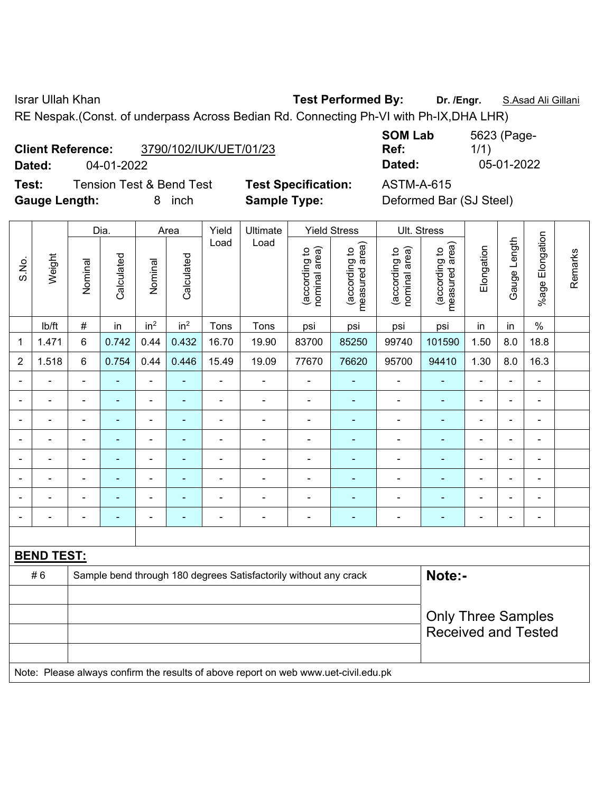Israr Ullah Khan **Test Performed By: Dr. /Engr.** S.Asad Ali Gillani

RE Nespak.(Const. of underpass Across Bedian Rd. Connecting Ph-VI with Ph-IX,DHA LHR)

| <b>Client Reference:</b> | 3790/102/IUK/UET/01/23 |
|--------------------------|------------------------|
|                          |                        |

**Test:** Tension Test & Bend Test **Test Specification:** ASTM-A-615 **Gauge Length:** 8 inch **Sample Type:** Deformed Bar (SJ Steel)

**SOM Lab Ref:**  5623 (Page-1/1) **Dated:** 04-01-2022 **Dated:** 05-01-2022

|                |                                                                                     |                           | Dia.           |                          | Area            | Yield                    | Ultimate                                                         |                                | <b>Yield Stress</b>             |                                | Ult. Stress                     |                |                          |                 |         |
|----------------|-------------------------------------------------------------------------------------|---------------------------|----------------|--------------------------|-----------------|--------------------------|------------------------------------------------------------------|--------------------------------|---------------------------------|--------------------------------|---------------------------------|----------------|--------------------------|-----------------|---------|
| S.No.          | Weight                                                                              | Nominal                   | Calculated     | Nominal                  | Calculated      | Load                     | Load                                                             | (according to<br>nominal area) | (according to<br>measured area) | (according to<br>nominal area) | (according to<br>measured area) | Elongation     | Gauge Length             | %age Elongation | Remarks |
|                | lb/ft                                                                               | $\#$                      | in             | in <sup>2</sup>          | in <sup>2</sup> | Tons                     | Tons                                                             | psi                            | psi                             | psi                            | psi                             | in             | in                       | $\%$            |         |
| $\mathbf 1$    | 1.471                                                                               | $6\phantom{1}$            | 0.742          | 0.44                     | 0.432           | 16.70                    | 19.90                                                            | 83700                          | 85250                           | 99740                          | 101590                          | 1.50           | 8.0                      | 18.8            |         |
| $\overline{2}$ | 1.518                                                                               | 6                         | 0.754          | 0.44                     | 0.446           | 15.49                    | 19.09                                                            | 77670                          | 76620                           | 95700                          | 94410                           | 1.30           | 8.0                      | 16.3            |         |
| $\blacksquare$ |                                                                                     | $\blacksquare$            | $\blacksquare$ | $\blacksquare$           | $\blacksquare$  | $\blacksquare$           | $\blacksquare$                                                   | $\blacksquare$                 | ÷                               | $\blacksquare$                 | $\blacksquare$                  | $\blacksquare$ | ä,                       | $\blacksquare$  |         |
|                |                                                                                     | $\blacksquare$            | ä,             | $\blacksquare$           | ÷               | $\blacksquare$           | $\blacksquare$                                                   | $\blacksquare$                 | $\blacksquare$                  | $\blacksquare$                 | ÷,                              | ä,             | $\blacksquare$           | ÷,              |         |
|                | $\blacksquare$                                                                      | $\blacksquare$            | $\blacksquare$ | $\overline{\phantom{0}}$ | ٠               | $\overline{\phantom{a}}$ | $\blacksquare$                                                   | $\blacksquare$                 | ۰                               | $\overline{\phantom{a}}$       | $\frac{1}{2}$                   | ÷              | $\blacksquare$           | ÷,              |         |
|                |                                                                                     | $\blacksquare$            | $\blacksquare$ | $\blacksquare$           | $\blacksquare$  | $\blacksquare$           | $\blacksquare$                                                   | $\blacksquare$                 | ÷                               | $\blacksquare$                 | $\blacksquare$                  |                |                          | ÷,              |         |
|                |                                                                                     | $\blacksquare$            |                | ä,                       | L,              | L,                       | $\blacksquare$                                                   | $\blacksquare$                 | ä,                              | $\blacksquare$                 | ä,                              |                |                          | $\blacksquare$  |         |
|                |                                                                                     | $\blacksquare$            |                | $\blacksquare$           |                 | ä,                       |                                                                  | $\blacksquare$                 |                                 | ä,                             |                                 |                |                          | $\blacksquare$  |         |
|                |                                                                                     |                           | $\blacksquare$ | $\blacksquare$           | ÷               | $\blacksquare$           |                                                                  | $\qquad \qquad \blacksquare$   | ۰                               | $\overline{a}$                 | ۰                               | $\blacksquare$ | $\overline{\phantom{0}}$ | $\blacksquare$  |         |
|                | $\blacksquare$                                                                      | $\blacksquare$            | $\blacksquare$ | $\blacksquare$           | $\overline{a}$  | $\blacksquare$           | $\overline{\phantom{a}}$                                         | $\blacksquare$                 | ۰                               | $\blacksquare$                 | $\blacksquare$                  | $\overline{a}$ | $\blacksquare$           | ÷,              |         |
|                |                                                                                     |                           |                |                          |                 |                          |                                                                  |                                |                                 |                                |                                 |                |                          |                 |         |
|                | <b>BEND TEST:</b>                                                                   |                           |                |                          |                 |                          |                                                                  |                                |                                 |                                |                                 |                |                          |                 |         |
|                | #6                                                                                  |                           |                |                          |                 |                          | Sample bend through 180 degrees Satisfactorily without any crack |                                |                                 |                                | Note:-                          |                |                          |                 |         |
|                |                                                                                     |                           |                |                          |                 |                          |                                                                  |                                |                                 |                                |                                 |                |                          |                 |         |
|                |                                                                                     | <b>Only Three Samples</b> |                |                          |                 |                          |                                                                  |                                |                                 |                                |                                 |                |                          |                 |         |
|                |                                                                                     |                           |                |                          |                 |                          |                                                                  |                                |                                 |                                | <b>Received and Tested</b>      |                |                          |                 |         |
|                | Note: Please always confirm the results of above report on web www.uet-civil.edu.pk |                           |                |                          |                 |                          |                                                                  |                                |                                 |                                |                                 |                |                          |                 |         |
|                |                                                                                     |                           |                |                          |                 |                          |                                                                  |                                |                                 |                                |                                 |                |                          |                 |         |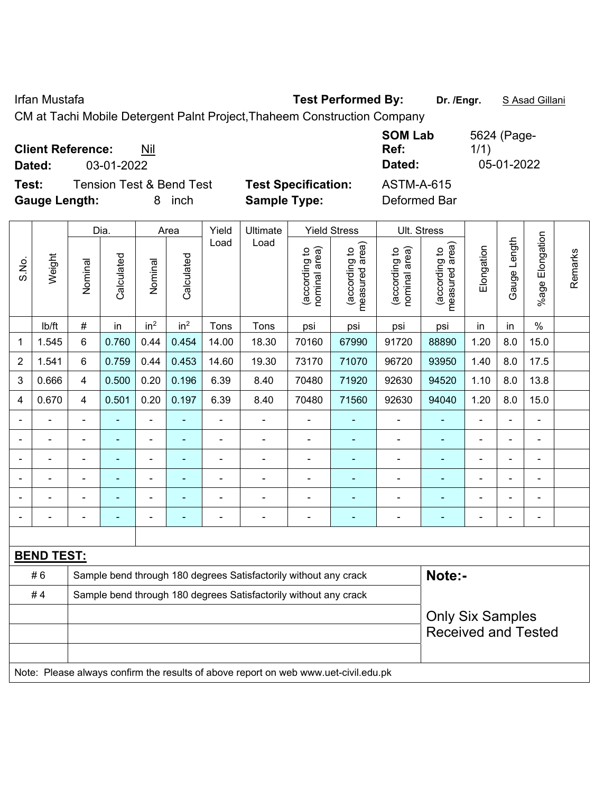Irfan Mustafa **Test Performed By: Dr. /Engr.** S Asad Gillani

CM at Tachi Mobile Detergent Palnt Project,Thaheem Construction Company

| <b>Client Reference:</b><br>Nil<br>03-01-2022<br>Dated:                            |                                                   | <b>SOM Lab</b><br>Ref:<br>Dated:  | 5624 (Page-<br>1/1)<br>05-01-2022 |
|------------------------------------------------------------------------------------|---------------------------------------------------|-----------------------------------|-----------------------------------|
| Test:<br><b>Tension Test &amp; Bend Test</b><br><b>Gauge Length:</b><br>inch<br>8. | <b>Test Specification:</b><br><b>Sample Type:</b> | <b>ASTM-A-615</b><br>Deformed Bar |                                   |

|                |                                                                                     |                                                                  | Dia.           |                          | Area                     | Yield          | Ultimate                                                         |                                | <b>Yield Stress</b>             | Ult. Stress                    |                                 |                          |                |                      |         |
|----------------|-------------------------------------------------------------------------------------|------------------------------------------------------------------|----------------|--------------------------|--------------------------|----------------|------------------------------------------------------------------|--------------------------------|---------------------------------|--------------------------------|---------------------------------|--------------------------|----------------|----------------------|---------|
| S.No.          | Weight                                                                              | Nominal                                                          | Calculated     | Nominal                  | Calculated               | Load           | Load                                                             | nominal area)<br>(according to | (according to<br>measured area) | (according to<br>nominal area) | measured area)<br>(according to | Elongation               | Gauge Length   | Elongation<br>%age l | Remarks |
|                | lb/ft                                                                               | $\#$                                                             | in             | in <sup>2</sup>          | in <sup>2</sup>          | Tons           | Tons                                                             | psi                            | psi                             | psi                            | psi                             | in                       | in             | $\frac{0}{0}$        |         |
| 1              | 1.545                                                                               | 6                                                                | 0.760          | 0.44                     | 0.454                    | 14.00          | 18.30                                                            | 70160                          | 67990                           | 91720                          | 88890                           | 1.20                     | 8.0            | 15.0                 |         |
| $\overline{2}$ | 1.541                                                                               | $6\phantom{1}$                                                   | 0.759          | 0.44                     | 0.453                    | 14.60          | 19.30                                                            | 73170                          | 71070                           | 96720                          | 93950                           | 1.40                     | 8.0            | 17.5                 |         |
| 3              | 0.666                                                                               | $\overline{4}$                                                   | 0.500          | 0.20                     | 0.196                    | 6.39           | 8.40                                                             | 70480                          | 71920                           | 92630                          | 94520                           | 1.10                     | 8.0            | 13.8                 |         |
| 4              | 0.670                                                                               | $\overline{\mathbf{4}}$                                          | 0.501          | 0.20                     | 0.197                    | 6.39           | 8.40                                                             | 70480                          | 71560                           | 92630                          | 94040                           | 1.20                     | 8.0            | 15.0                 |         |
|                |                                                                                     | $\blacksquare$                                                   | $\blacksquare$ | $\blacksquare$           | $\blacksquare$           |                |                                                                  | $\blacksquare$                 | ÷                               | ÷                              |                                 | $\blacksquare$           | $\blacksquare$ | $\blacksquare$       |         |
|                | $\blacksquare$                                                                      | $\blacksquare$                                                   | ä,             | $\overline{\phantom{a}}$ | $\blacksquare$           | $\blacksquare$ | $\blacksquare$                                                   | $\blacksquare$                 | ÷                               | ÷                              | $\overline{\phantom{a}}$        | $\blacksquare$           | $\blacksquare$ | $\blacksquare$       |         |
|                |                                                                                     |                                                                  | $\blacksquare$ | $\blacksquare$           | ٠                        |                |                                                                  | $\blacksquare$                 | ۰                               | $\blacksquare$                 | Ē,                              | $\blacksquare$           | $\blacksquare$ | $\blacksquare$       |         |
|                |                                                                                     |                                                                  | ٠              | ۰                        |                          |                |                                                                  |                                | ۰                               |                                |                                 | $\overline{\phantom{0}}$ |                | $\blacksquare$       |         |
|                |                                                                                     |                                                                  |                | ۰                        |                          |                |                                                                  |                                | $\blacksquare$                  | ۰                              |                                 | $\overline{\phantom{0}}$ |                | $\blacksquare$       |         |
| $\blacksquare$ |                                                                                     |                                                                  |                | $\overline{a}$           | $\overline{\phantom{0}}$ |                | $\blacksquare$                                                   | $\blacksquare$                 | ۰                               | $\overline{a}$                 | ٠                               | $\blacksquare$           | $\blacksquare$ | $\overline{a}$       |         |
|                |                                                                                     |                                                                  |                |                          |                          |                |                                                                  |                                |                                 |                                |                                 |                          |                |                      |         |
|                | <b>BEND TEST:</b>                                                                   |                                                                  |                |                          |                          |                |                                                                  |                                |                                 |                                |                                 |                          |                |                      |         |
|                | #6                                                                                  |                                                                  |                |                          |                          |                | Sample bend through 180 degrees Satisfactorily without any crack |                                |                                 |                                | Note:-                          |                          |                |                      |         |
|                | #4                                                                                  | Sample bend through 180 degrees Satisfactorily without any crack |                |                          |                          |                |                                                                  |                                |                                 |                                |                                 |                          |                |                      |         |
|                |                                                                                     |                                                                  |                |                          |                          |                |                                                                  |                                |                                 |                                | <b>Only Six Samples</b>         |                          |                |                      |         |
|                |                                                                                     |                                                                  |                |                          |                          |                |                                                                  |                                |                                 |                                | <b>Received and Tested</b>      |                          |                |                      |         |
|                |                                                                                     |                                                                  |                |                          |                          |                |                                                                  |                                |                                 |                                |                                 |                          |                |                      |         |
|                | Note: Please always confirm the results of above report on web www.uet-civil.edu.pk |                                                                  |                |                          |                          |                |                                                                  |                                |                                 |                                |                                 |                          |                |                      |         |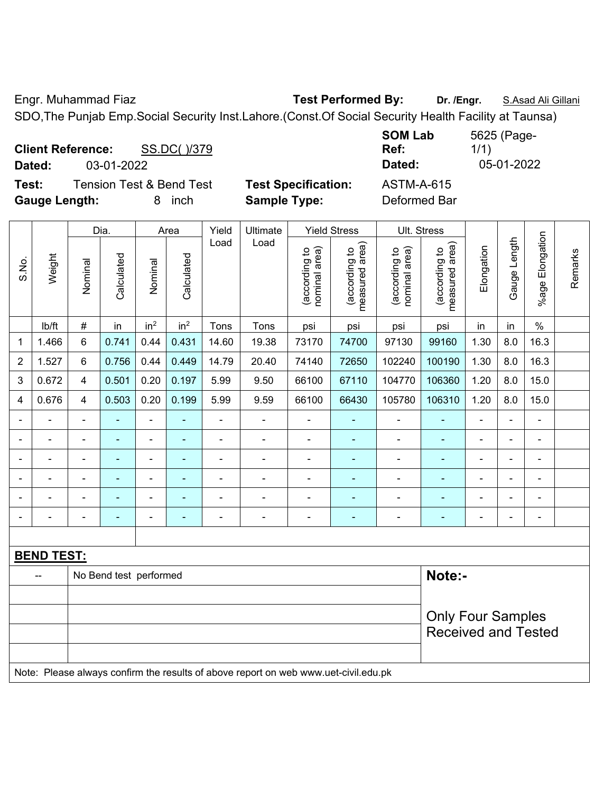Engr. Muhammad Fiaz **Test Performed By: Dr. /Engr.** S.Asad Ali Gillani

SDO,The Punjab Emp.Social Security Inst.Lahore.(Const.Of Social Security Health Facility at Taunsa)

| <b>Client Reference:</b> |            | SS.DC()/379                         |                            | <b>SOM Lab</b><br>Ref: | 5625 (Page-<br>1/1) |
|--------------------------|------------|-------------------------------------|----------------------------|------------------------|---------------------|
| Dated:                   | 03-01-2022 |                                     |                            | Dated:                 | 05-01-2022          |
| Test:                    |            | <b>Tension Test &amp; Bend Test</b> | <b>Test Specification:</b> | ASTM-A-615             |                     |
| <b>Gauge Length:</b>     |            | inch<br>8.                          | <b>Sample Type:</b>        | Deformed Bar           |                     |

|                |                                                                                     |                | Dia.                   |                 | Area            | Yield          | Ultimate       |                                | <b>Yield Stress</b>             |                                | Ult. Stress                     |                |                |                 |         |
|----------------|-------------------------------------------------------------------------------------|----------------|------------------------|-----------------|-----------------|----------------|----------------|--------------------------------|---------------------------------|--------------------------------|---------------------------------|----------------|----------------|-----------------|---------|
| S.No.          | Weight                                                                              | Nominal        | Calculated             | Nominal         | Calculated      | Load           | Load           | nominal area)<br>(according to | measured area)<br>(according to | nominal area)<br>(according to | measured area)<br>(according to | Elongation     | Gauge Length   | %age Elongation | Remarks |
|                | lb/ft                                                                               | $\#$           | in                     | in <sup>2</sup> | in <sup>2</sup> | Tons           | Tons           | psi                            | psi                             | psi                            | psi                             | in             | in             | $\%$            |         |
| 1              | 1.466                                                                               | 6              | 0.741                  | 0.44            | 0.431           | 14.60          | 19.38          | 73170                          | 74700                           | 97130                          | 99160                           | 1.30           | 8.0            | 16.3            |         |
| $\overline{2}$ | 1.527                                                                               | 6              | 0.756                  | 0.44            | 0.449           | 14.79          | 20.40          | 74140                          | 72650                           | 102240                         | 100190                          | 1.30           | 8.0            | 16.3            |         |
| 3              | 0.672                                                                               | 4              | 0.501                  | 0.20            | 0.197           | 5.99           | 9.50           | 66100                          | 67110                           | 104770                         | 106360                          | 1.20           | 8.0            | 15.0            |         |
| 4              | 0.676                                                                               | 4              | 0.503                  | 0.20            | 0.199           | 5.99           | 9.59           | 66100                          | 66430                           | 105780                         | 106310                          | 1.20           | 8.0            | 15.0            |         |
|                | $\blacksquare$                                                                      | $\blacksquare$ | ÷,                     | $\frac{1}{2}$   | $\blacksquare$  | $\blacksquare$ | $\blacksquare$ | $\blacksquare$                 | $\blacksquare$                  | $\blacksquare$                 | ÷,                              | ä,             | ÷,             | $\blacksquare$  |         |
|                | ä,                                                                                  | $\blacksquare$ | $\blacksquare$         | $\blacksquare$  | $\blacksquare$  | $\blacksquare$ | $\blacksquare$ | ÷,                             | $\blacksquare$                  | $\blacksquare$                 | ÷                               | ÷              | ÷,             | $\blacksquare$  |         |
|                |                                                                                     |                | ä,                     | $\blacksquare$  | $\blacksquare$  | ä,             | $\blacksquare$ | ä,                             | ä,                              | $\blacksquare$                 | ä,                              | ÷              | ä,             | $\blacksquare$  |         |
|                |                                                                                     |                |                        | $\blacksquare$  |                 | $\overline{a}$ |                |                                |                                 |                                |                                 |                | -              | Ē,              |         |
|                |                                                                                     |                | Ē.                     | $\blacksquare$  |                 |                |                | ÷,                             | $\blacksquare$                  | $\blacksquare$                 |                                 |                | ÷              | L,              |         |
| $\blacksquare$ | $\blacksquare$                                                                      |                | ÷                      | $\blacksquare$  | $\blacksquare$  | Ē,             | $\blacksquare$ | $\blacksquare$                 | $\blacksquare$                  | $\blacksquare$                 | $\blacksquare$                  | $\blacksquare$ | $\blacksquare$ | $\blacksquare$  |         |
|                |                                                                                     |                |                        |                 |                 |                |                |                                |                                 |                                |                                 |                |                |                 |         |
|                | <b>BEND TEST:</b>                                                                   |                |                        |                 |                 |                |                |                                |                                 |                                |                                 |                |                |                 |         |
|                | $\overline{a}$                                                                      |                | No Bend test performed |                 |                 |                |                |                                |                                 |                                | Note:-                          |                |                |                 |         |
|                |                                                                                     |                |                        |                 |                 |                |                |                                |                                 |                                |                                 |                |                |                 |         |
|                |                                                                                     |                |                        |                 |                 |                |                |                                |                                 |                                | <b>Only Four Samples</b>        |                |                |                 |         |
|                |                                                                                     |                |                        |                 |                 |                |                |                                |                                 |                                | <b>Received and Tested</b>      |                |                |                 |         |
|                |                                                                                     |                |                        |                 |                 |                |                |                                |                                 |                                |                                 |                |                |                 |         |
|                | Note: Please always confirm the results of above report on web www.uet-civil.edu.pk |                |                        |                 |                 |                |                |                                |                                 |                                |                                 |                |                |                 |         |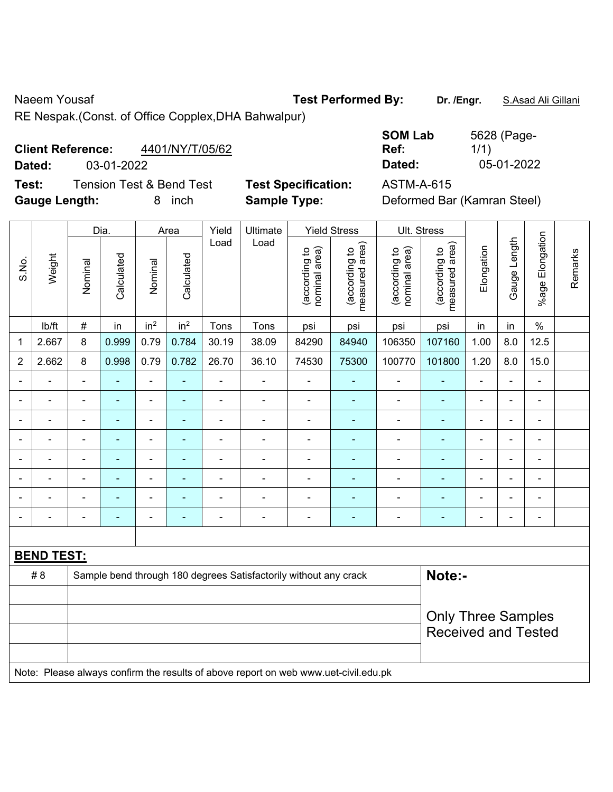Naeem Yousaf **Test Performed By:** Dr. /Engr. **S.Asad Ali Gillani** 

RE Nespak.(Const. of Office Copplex,DHA Bahwalpur)

# **Client Reference:** 4401/NY/T/05/62

**Dated:** 03-01-2022 **Dated:** 05-01-2022

**Test:** Tension Test & Bend Test **Test Specification:** ASTM-A-615 **Gauge Length:** 8 inch **Sample Type:** Deformed Bar (Kamran Steel)

| <b>SOM Lab</b> | 5628 (Page- |
|----------------|-------------|
| Ref:           | 1/1)        |
| Dated:         | 05-01-2022  |

|                | Weight                                                                              | Dia.                     |                | Area            |                 | Yield          | Ultimate                                                         | <b>Yield Stress</b>            |                                 | Ult. Stress                    |                                 |                          |                                                         |                 |         |  |  |
|----------------|-------------------------------------------------------------------------------------|--------------------------|----------------|-----------------|-----------------|----------------|------------------------------------------------------------------|--------------------------------|---------------------------------|--------------------------------|---------------------------------|--------------------------|---------------------------------------------------------|-----------------|---------|--|--|
| S.No.          |                                                                                     | Nominal                  | Calculated     | Nominal         | Calculated      | Load           | Load                                                             | nominal area)<br>(according to | (according to<br>measured area) | nominal area)<br>(according to | measured area)<br>(according to | Elongation               | Gauge Length                                            | %age Elongation | Remarks |  |  |
|                | Ib/ft                                                                               | #                        | in             | in <sup>2</sup> | in <sup>2</sup> | Tons           | Tons                                                             | psi                            | psi                             | psi                            | psi                             | in                       | in                                                      | $\%$            |         |  |  |
| 1              | 2.667                                                                               | 8                        | 0.999          | 0.79            | 0.784           | 30.19          | 38.09                                                            | 84290                          | 84940                           | 106350                         | 107160                          | 1.00                     | 8.0                                                     | 12.5            |         |  |  |
| $\overline{2}$ | 2.662                                                                               | 8                        | 0.998          | 0.79            | 0.782           | 26.70          | 36.10                                                            | 74530                          | 75300                           | 100770                         | 101800                          | 1.20                     | 8.0                                                     | 15.0            |         |  |  |
| $\blacksquare$ | $\blacksquare$                                                                      | $\blacksquare$           | ä,             | $\blacksquare$  | ä,              | ä,             | ä,                                                               | $\blacksquare$                 | $\blacksquare$                  | $\blacksquare$                 | ÷,                              | ä,                       | ä,                                                      | $\blacksquare$  |         |  |  |
|                | $\blacksquare$                                                                      | $\blacksquare$           | ÷,             | $\blacksquare$  | $\blacksquare$  | $\blacksquare$ | $\frac{1}{2}$                                                    | $\blacksquare$                 | $\blacksquare$                  | $\blacksquare$                 | ÷                               | $\blacksquare$           | ÷,                                                      | $\blacksquare$  |         |  |  |
|                | ä,                                                                                  | $\blacksquare$           | $\blacksquare$ | $\blacksquare$  | ٠               | L,             | $\blacksquare$                                                   | $\blacksquare$                 | ä,                              | Ē,                             | $\blacksquare$                  | $\overline{a}$           | ÷                                                       | L,              |         |  |  |
|                |                                                                                     |                          | ۰              | $\blacksquare$  | ٠               |                |                                                                  | $\overline{\phantom{0}}$       | $\blacksquare$                  | ٠                              |                                 |                          |                                                         | -               |         |  |  |
|                |                                                                                     |                          |                | ÷               |                 |                |                                                                  | Ē,                             |                                 |                                |                                 |                          | ÷                                                       | Ē,              |         |  |  |
| $\blacksquare$ | $\overline{\phantom{0}}$                                                            | $\overline{\phantom{0}}$ | ٠              | $\blacksquare$  | ٠               | $\sim$         | $\blacksquare$                                                   | ÷.                             | $\overline{\phantom{0}}$        |                                | ۰                               | $\overline{\phantom{0}}$ | ۰                                                       | ä,              |         |  |  |
| $\blacksquare$ |                                                                                     | $\blacksquare$           | Ē.             | ä,              |                 | L,             | $\blacksquare$                                                   | Ē,                             | ٠                               | Ē,                             | ٠                               | ۰                        | $\blacksquare$                                          | ä,              |         |  |  |
| $\blacksquare$ | $\blacksquare$                                                                      | $\overline{\phantom{0}}$ | $\blacksquare$ | ÷               | $\blacksquare$  | $\blacksquare$ | $\blacksquare$                                                   | $\blacksquare$                 | $\blacksquare$                  | $\blacksquare$                 | ٠                               | $\overline{a}$           | ۰                                                       | $\blacksquare$  |         |  |  |
|                |                                                                                     |                          |                |                 |                 |                |                                                                  |                                |                                 |                                |                                 |                          |                                                         |                 |         |  |  |
|                | <b>BEND TEST:</b>                                                                   |                          |                |                 |                 |                |                                                                  |                                |                                 |                                |                                 |                          |                                                         |                 |         |  |  |
| # 8            |                                                                                     |                          |                |                 |                 |                | Sample bend through 180 degrees Satisfactorily without any crack |                                |                                 |                                |                                 | Note:-                   |                                                         |                 |         |  |  |
|                |                                                                                     |                          |                |                 |                 |                |                                                                  |                                |                                 |                                |                                 |                          |                                                         |                 |         |  |  |
|                |                                                                                     |                          |                |                 |                 |                |                                                                  |                                |                                 |                                |                                 |                          | <b>Only Three Samples</b><br><b>Received and Tested</b> |                 |         |  |  |
|                |                                                                                     |                          |                |                 |                 |                |                                                                  |                                |                                 |                                |                                 |                          |                                                         |                 |         |  |  |
|                | Note: Please always confirm the results of above report on web www.uet-civil.edu.pk |                          |                |                 |                 |                |                                                                  |                                |                                 |                                |                                 |                          |                                                         |                 |         |  |  |